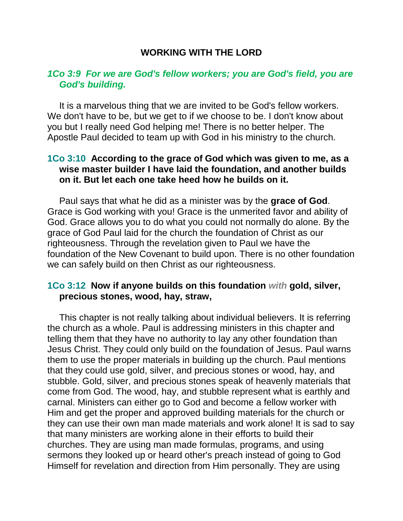## **WORKING WITH THE LORD**

## *1Co 3:9 For we are God's fellow workers; you are God's field, you are God's building.*

It is a marvelous thing that we are invited to be God's fellow workers. We don't have to be, but we get to if we choose to be. I don't know about you but I really need God helping me! There is no better helper. The Apostle Paul decided to team up with God in his ministry to the church.

## **1Co 3:10 According to the grace of God which was given to me, as a wise master builder I have laid the foundation, and another builds on it. But let each one take heed how he builds on it.**

Paul says that what he did as a minister was by the **grace of God**. Grace is God working with you! Grace is the unmerited favor and ability of God. Grace allows you to do what you could not normally do alone. By the grace of God Paul laid for the church the foundation of Christ as our righteousness. Through the revelation given to Paul we have the foundation of the New Covenant to build upon. There is no other foundation we can safely build on then Christ as our righteousness.

## **1Co 3:12 Now if anyone builds on this foundation** *with* **gold, silver, precious stones, wood, hay, straw,**

This chapter is not really talking about individual believers. It is referring the church as a whole. Paul is addressing ministers in this chapter and telling them that they have no authority to lay any other foundation than Jesus Christ. They could only build on the foundation of Jesus. Paul warns them to use the proper materials in building up the church. Paul mentions that they could use gold, silver, and precious stones or wood, hay, and stubble. Gold, silver, and precious stones speak of heavenly materials that come from God. The wood, hay, and stubble represent what is earthly and carnal. Ministers can either go to God and become a fellow worker with Him and get the proper and approved building materials for the church or they can use their own man made materials and work alone! It is sad to say that many ministers are working alone in their efforts to build their churches. They are using man made formulas, programs, and using sermons they looked up or heard other's preach instead of going to God Himself for revelation and direction from Him personally. They are using